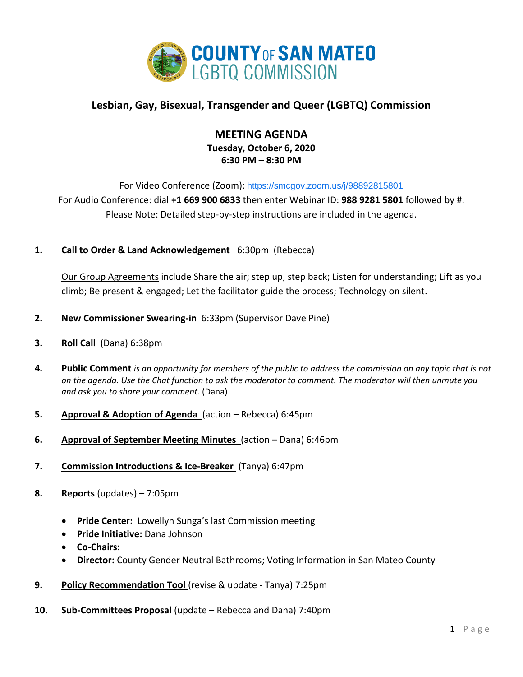

# **Lesbian, Gay, Bisexual, Transgender and Queer (LGBTQ) Commission**

# **MEETING AGENDA**

**Tuesday, October 6, 2020 6:30 PM – 8:30 PM**

For Video Conference (Zoom): <https://smcgov.zoom.us/j/98892815801> For Audio Conference: dial **+1 669 900 6833** then enter Webinar ID: **988 9281 5801** followed by #.

Please Note: Detailed step-by-step instructions are included in the agenda.

**1. Call to Order & Land Acknowledgement** 6:30pm (Rebecca)

Our Group Agreements include Share the air; step up, step back; Listen for understanding; Lift as you climb; Be present & engaged; Let the facilitator guide the process; Technology on silent.

- **2. New Commissioner Swearing-in** 6:33pm (Supervisor Dave Pine)
- **3. Roll Call** (Dana) 6:38pm
- **4. Public Comment** *is an opportunity for members of the public to address the commission on any topic that is not on the agenda. Use the Chat function to ask the moderator to comment. The moderator will then unmute you and ask you to share your comment.* (Dana)
- **5. Approval & Adoption of Agenda** (action Rebecca) 6:45pm
- **6. Approval of September Meeting Minutes** (action Dana) 6:46pm
- **7. Commission Introductions & Ice-Breaker** (Tanya) 6:47pm
- **8. Reports** (updates) 7:05pm
	- **Pride Center:** Lowellyn Sunga's last Commission meeting
	- **Pride Initiative:** Dana Johnson
	- **Co-Chairs:**
	- **Director:** County Gender Neutral Bathrooms; Voting Information in San Mateo County
- **9. Policy Recommendation Tool** (revise & update Tanya) 7:25pm
- **10. Sub-Committees Proposal** (update Rebecca and Dana) 7:40pm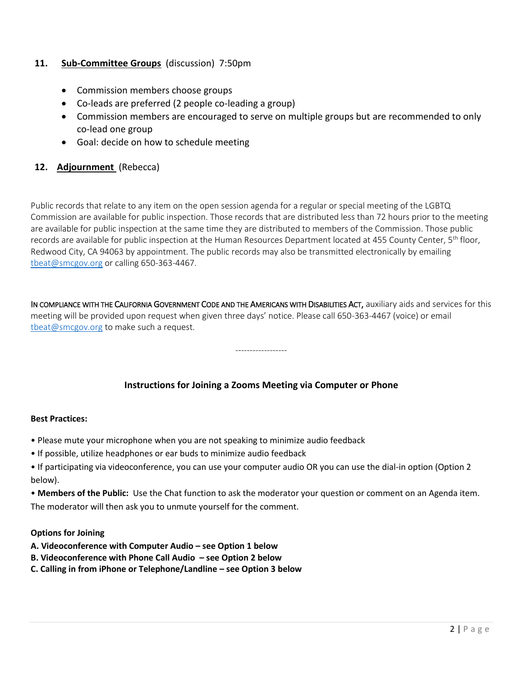## **11. Sub-Committee Groups** (discussion) 7:50pm

- Commission members choose groups
- Co-leads are preferred (2 people co-leading a group)
- Commission members are encouraged to serve on multiple groups but are recommended to only co-lead one group
- Goal: decide on how to schedule meeting

## **12. Adjournment** (Rebecca)

Public records that relate to any item on the open session agenda for a regular or special meeting of the LGBTQ Commission are available for public inspection. Those records that are distributed less than 72 hours prior to the meeting are available for public inspection at the same time they are distributed to members of the Commission. Those public records are available for public inspection at the Human Resources Department located at 455 County Center, 5<sup>th</sup> floor, Redwood City, CA 94063 by appointment. The public records may also be transmitted electronically by emailing [tbeat@smcgov.org](mailto:tbeat@smcgov.org) or calling 650-363-4467.

IN COMPLIANCE WITH THE CALIFORNIA GOVERNMENT CODE AND THE AMERICANS WITH DISABILITIES ACT, auxiliary aids and services for this meeting will be provided upon request when given three days' notice. Please call 650-363-4467 (voice) or email [tbeat@smcgov.org](mailto:tbeat@smcgov.org) to make such a request.

------------------

# **Instructions for Joining a Zooms Meeting via Computer or Phone**

#### **Best Practices:**

- Please mute your microphone when you are not speaking to minimize audio feedback
- If possible, utilize headphones or ear buds to minimize audio feedback
- If participating via videoconference, you can use your computer audio OR you can use the dial-in option (Option 2 below).

• **Members of the Public:** Use the Chat function to ask the moderator your question or comment on an Agenda item. The moderator will then ask you to unmute yourself for the comment.

#### **Options for Joining**

- **A. Videoconference with Computer Audio – see Option 1 below**
- **B. Videoconference with Phone Call Audio – see Option 2 below**
- **C. Calling in from iPhone or Telephone/Landline – see Option 3 below**